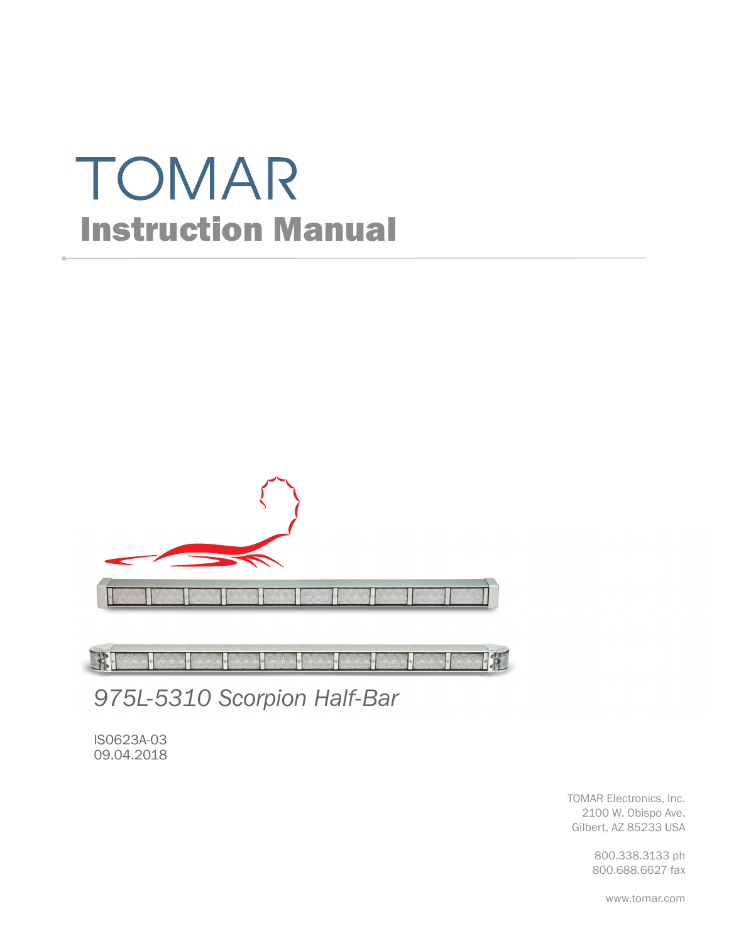# TOMAR Instruction Manual



FFI **IK** 

*975L-5310 Scorpion Half-Bar*

IS0623A-03 09.04.2018

> TOMAR Electronics, Inc. 2100 W. Obispo Ave. Gilbert, AZ 85233 USA

> > 800.338.3133 ph 800.688.6627 fax

> > > www.tomar.com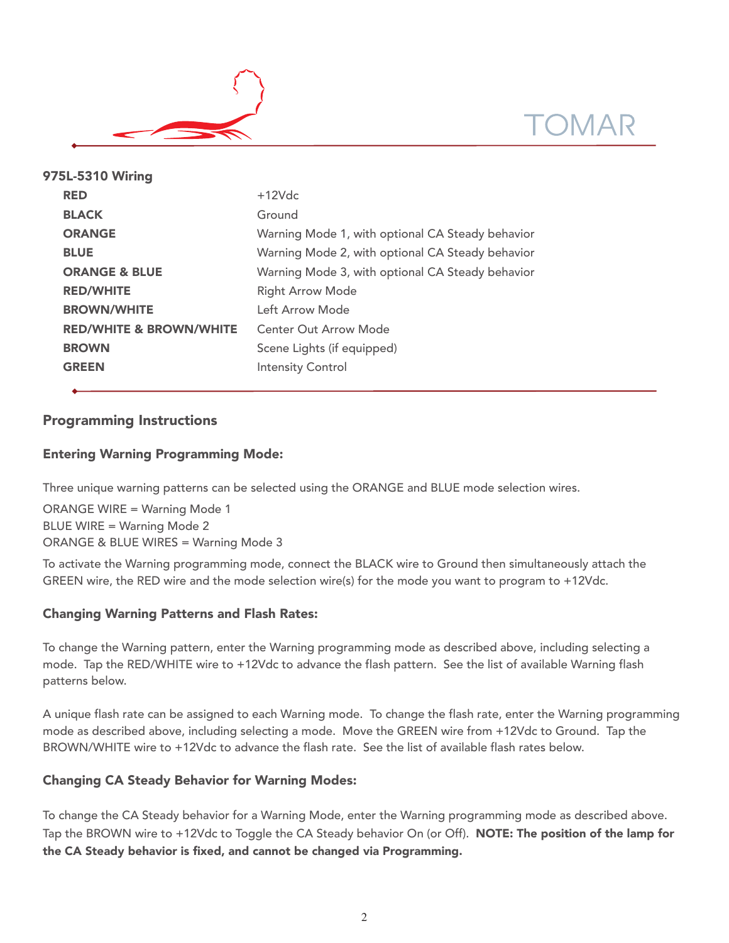



| 975L-5310 Wiring |                                    |                                                  |  |  |  |
|------------------|------------------------------------|--------------------------------------------------|--|--|--|
|                  | <b>RED</b>                         | $+12Vdc$                                         |  |  |  |
|                  | <b>BLACK</b>                       | Ground                                           |  |  |  |
|                  | <b>ORANGE</b>                      | Warning Mode 1, with optional CA Steady behavior |  |  |  |
|                  | <b>BLUE</b>                        | Warning Mode 2, with optional CA Steady behavior |  |  |  |
|                  | <b>ORANGE &amp; BLUE</b>           | Warning Mode 3, with optional CA Steady behavior |  |  |  |
|                  | <b>RED/WHITE</b>                   | <b>Right Arrow Mode</b>                          |  |  |  |
|                  | <b>BROWN/WHITE</b>                 | Left Arrow Mode                                  |  |  |  |
|                  | <b>RED/WHITE &amp; BROWN/WHITE</b> | Center Out Arrow Mode                            |  |  |  |
|                  | <b>BROWN</b>                       | Scene Lights (if equipped)                       |  |  |  |
|                  | <b>GREEN</b>                       | <b>Intensity Control</b>                         |  |  |  |
|                  |                                    |                                                  |  |  |  |

# Programming Instructions

## Entering Warning Programming Mode:

Three unique warning patterns can be selected using the ORANGE and BLUE mode selection wires.

ORANGE WIRE = Warning Mode 1 BLUE WIRE = Warning Mode 2 ORANGE & BLUE WIRES = Warning Mode 3

To activate the Warning programming mode, connect the BLACK wire to Ground then simultaneously attach the GREEN wire, the RED wire and the mode selection wire(s) for the mode you want to program to +12Vdc.

## Changing Warning Patterns and Flash Rates:

To change the Warning pattern, enter the Warning programming mode as described above, including selecting a mode. Tap the RED/WHITE wire to +12Vdc to advance the flash pattern. See the list of available Warning flash patterns below.

A unique flash rate can be assigned to each Warning mode. To change the flash rate, enter the Warning programming mode as described above, including selecting a mode. Move the GREEN wire from +12Vdc to Ground. Tap the BROWN/WHITE wire to +12Vdc to advance the flash rate. See the list of available flash rates below.

## Changing CA Steady Behavior for Warning Modes:

To change the CA Steady behavior for a Warning Mode, enter the Warning programming mode as described above. Tap the BROWN wire to +12Vdc to Toggle the CA Steady behavior On (or Off). **NOTE: The position of the lamp for** the CA Steady behavior is fixed, and cannot be changed via Programming.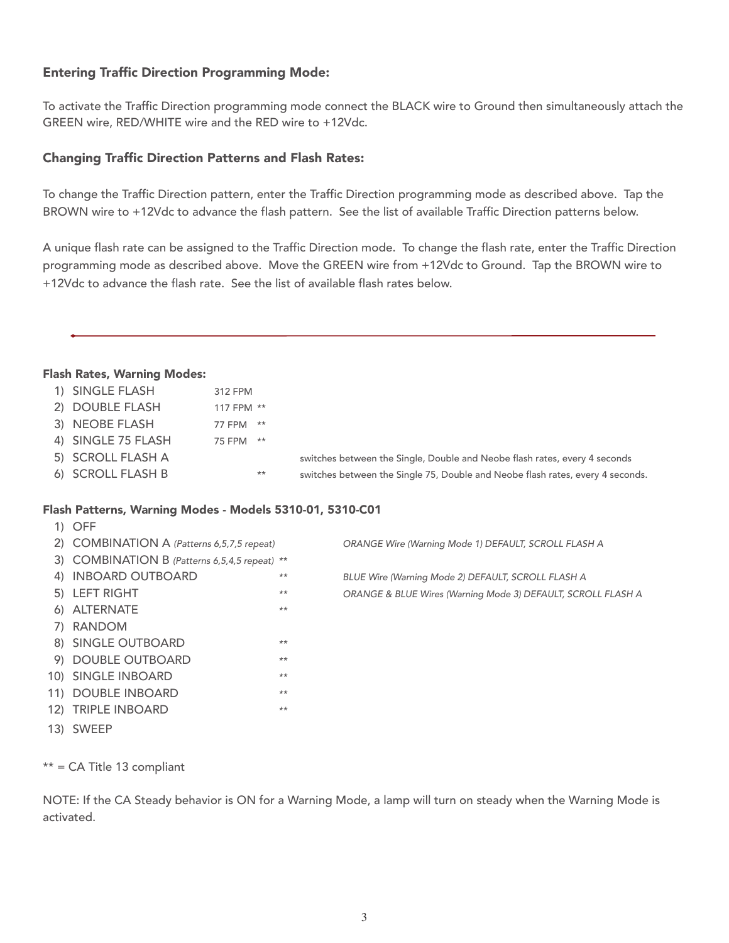# Entering Traffic Direction Programming Mode:

To activate the Traffic Direction programming mode connect the BLACK wire to Ground then simultaneously attach the GREEN wire, RED/WHITE wire and the RED wire to +12Vdc.

## Changing Traffic Direction Patterns and Flash Rates:

To change the Traffic Direction pattern, enter the Traffic Direction programming mode as described above. Tap the BROWN wire to +12Vdc to advance the flash pattern. See the list of available Traffic Direction patterns below.

A unique flash rate can be assigned to the Traffic Direction mode. To change the flash rate, enter the Traffic Direction programming mode as described above. Move the GREEN wire from +12Vdc to Ground. Tap the BROWN wire to +12Vdc to advance the flash rate. See the list of available flash rates below.

## Flash Rates, Warning Modes:

| iasii Kates, wariiliy woues. |            |       |                                                                                |
|------------------------------|------------|-------|--------------------------------------------------------------------------------|
| 1) SINGLE FLASH              | 312 FPM    |       |                                                                                |
| 2) DOUBLE FLASH              | 117 FPM ** |       |                                                                                |
| 3) NEOBE FLASH               | 77 FPM     | $***$ |                                                                                |
| 4) SINGLE 75 FLASH           | 75 FPM     | $***$ |                                                                                |
| 5) SCROLL FLASH A            |            |       | switches between the Single, Double and Neobe flash rates, every 4 seconds     |
| 6) SCROLL FLASH B            |            | $***$ | switches between the Single 75, Double and Neobe flash rates, every 4 seconds. |
|                              |            |       |                                                                                |

#### Flash Patterns, Warning Modes - Models 5310-01, 5310-C01

| $1)$ OFF                                      |       |                                                              |
|-----------------------------------------------|-------|--------------------------------------------------------------|
| 2) COMBINATION A (Patterns 6,5,7,5 repeat)    |       | ORANGE Wire (Warning Mode 1) DEFAULT, SCROLL FLASH A         |
| 3) COMBINATION B (Patterns 6,5,4,5 repeat) ** |       |                                                              |
| 4) INBOARD OUTBOARD                           | $**$  | BLUE Wire (Warning Mode 2) DEFAULT, SCROLL FLASH A           |
| 5) LEFT RIGHT                                 | $***$ | ORANGE & BLUE Wires (Warning Mode 3) DEFAULT, SCROLL FLASH A |
| 6) ALTERNATE                                  | $**$  |                                                              |
| 7) RANDOM                                     |       |                                                              |
| 8) SINGLE OUTBOARD                            | $**$  |                                                              |
| 9) DOUBLE OUTBOARD                            | $**$  |                                                              |
| 10) SINGLE INBOARD                            | $**$  |                                                              |
| 11) DOUBLE INBOARD                            | $**$  |                                                              |
| 12) TRIPLE INBOARD                            | $**$  |                                                              |
| 13) SWEEP                                     |       |                                                              |

\*\* = CA Title 13 compliant

NOTE: If the CA Steady behavior is ON for a Warning Mode, a lamp will turn on steady when the Warning Mode is activated.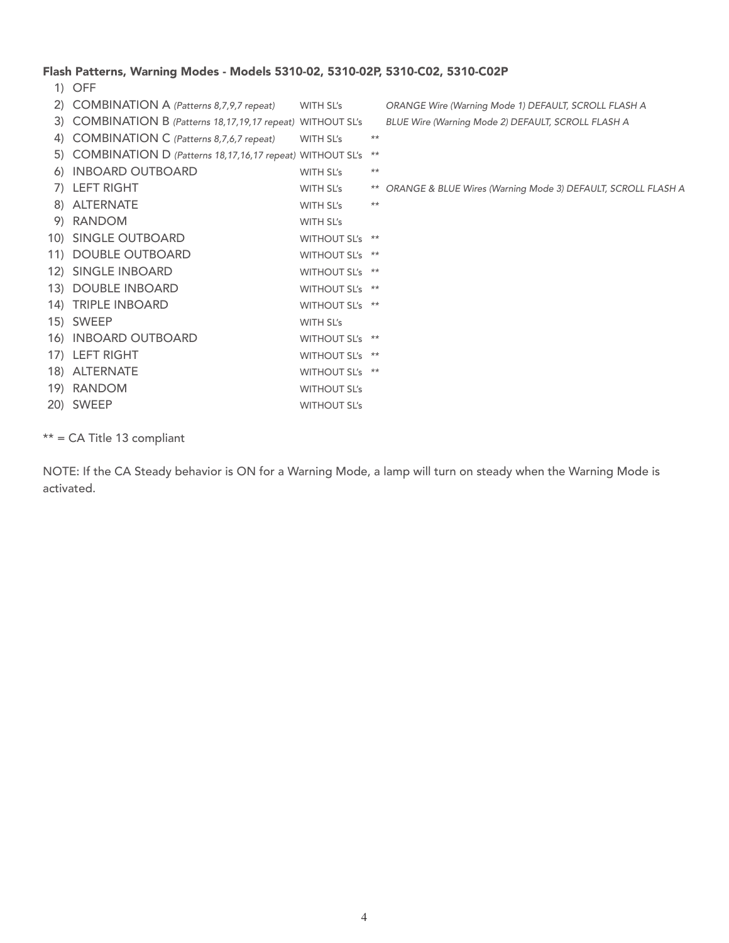## Flash Patterns, Warning Modes - Models 5310-02, 5310-02P, 5310-C02, 5310-C02P

1) OFF 2) COMBINATION A (Patterns 8,7,9,7 repeat) WITH SL's ORANGE Wire (Warning Mode 1) DEFAULT, SCROLL FLASH A 3) COMBINATION B (Patterns 18,17,19,17 repeat) WITHOUT SL's BLUE Wire (Warning Mode 2) DEFAULT, SCROLL FLASH A 4) COMBINATION C (Patterns 8,7,6,7 repeat) WITH SL's \*\* 5) COMBINATION D (Patterns 18,17,16,17 repeat) WITHOUT SL's \*\* 6) INBOARD OUTBOARD WITH SL's \*\* 7) LEFT RIGHT WITH SL's \*\* ORANGE & BLUE Wires (Warning Mode 3) DEFAULT, SCROLL FLASH A 8) ALTERNATE WITH SL's \*\* 9) RANDOM WITH SL's 10) SINGLE OUTBOARD WITHOUT SL's \*\* 11) DOUBLE OUTBOARD WITHOUT SL's \*\* 12) SINGLE INBOARD WITHOUT SL's \*\* 13) DOUBLE INBOARD WITHOUT SL's \*\* 14) TRIPLE INBOARD WITHOUT SL's \*\* 15) SWEEP WITH SL's 16) INBOARD OUTBOARD WITHOUT SL's \*\* 17) LEFT RIGHT WITHOUT SL's \*\* 18) ALTERNATE WITHOUT SL's \*\* 19) RANDOM WITHOUT SL's 20) SWEEP WITHOUT SL's

\*\* = CA Title 13 compliant

NOTE: If the CA Steady behavior is ON for a Warning Mode, a lamp will turn on steady when the Warning Mode is activated.